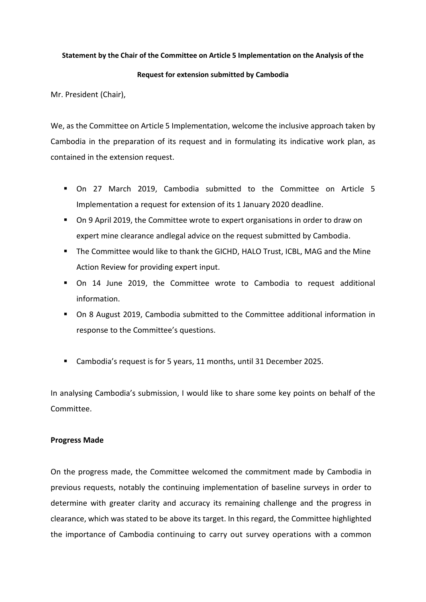## **Statement by the Chair of the Committee on Article 5 Implementation on the Analysis of the**

## **Request for extension submitted by Cambodia**

Mr. President (Chair),

We, as the Committee on Article 5 Implementation, welcome the inclusive approach taken by Cambodia in the preparation of its request and in formulating its indicative work plan, as contained in the extension request.

- On 27 March 2019, Cambodia submitted to the Committee on Article 5 Implementation a request for extension of its 1 January 2020 deadline.
- On 9 April 2019, the Committee wrote to expert organisations in order to draw on expert mine clearance andlegal advice on the request submitted by Cambodia.
- **.** The Committee would like to thank the GICHD, HALO Trust, ICBL, MAG and the Mine Action Review for providing expert input.
- On 14 June 2019, the Committee wrote to Cambodia to request additional information.
- On 8 August 2019, Cambodia submitted to the Committee additional information in response to the Committee's questions.
- Cambodia's request is for 5 years, 11 months, until 31 December 2025.

In analysing Cambodia's submission, I would like to share some key points on behalf of the Committee.

## **Progress Made**

On the progress made, the Committee welcomed the commitment made by Cambodia in previous requests, notably the continuing implementation of baseline surveys in order to determine with greater clarity and accuracy its remaining challenge and the progress in clearance, which was stated to be above its target. In this regard, the Committee highlighted the importance of Cambodia continuing to carry out survey operations with a common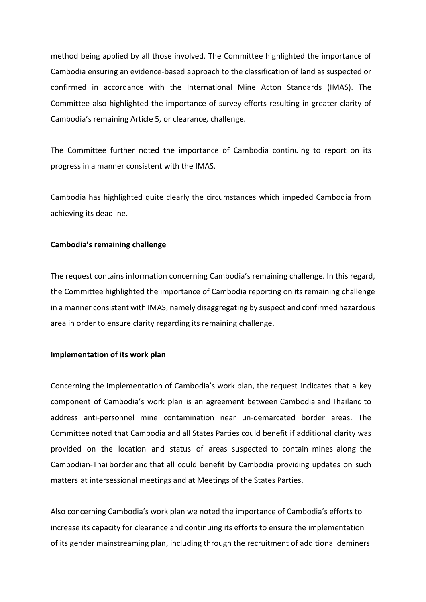method being applied by all those involved. The Committee highlighted the importance of Cambodia ensuring an evidence-based approach to the classification of land as suspected or confirmed in accordance with the International Mine Acton Standards (IMAS). The Committee also highlighted the importance of survey efforts resulting in greater clarity of Cambodia's remaining Article 5, or clearance, challenge.

The Committee further noted the importance of Cambodia continuing to report on its progress in a manner consistent with the IMAS.

Cambodia has highlighted quite clearly the circumstances which impeded Cambodia from achieving its deadline.

## **Cambodia's remaining challenge**

The request contains information concerning Cambodia's remaining challenge. In this regard, the Committee highlighted the importance of Cambodia reporting on its remaining challenge in a manner consistent with IMAS, namely disaggregating by suspect and confirmed hazardous area in order to ensure clarity regarding its remaining challenge.

## **Implementation of its work plan**

Concerning the implementation of Cambodia's work plan, the request indicates that a key component of Cambodia's work plan is an agreement between Cambodia and Thailand to address anti-personnel mine contamination near un-demarcated border areas. The Committee noted that Cambodia and all States Parties could benefit if additional clarity was provided on the location and status of areas suspected to contain mines along the Cambodian-Thai border and that all could benefit by Cambodia providing updates on such matters at intersessional meetings and at Meetings of the States Parties.

Also concerning Cambodia's work plan we noted the importance of Cambodia's efforts to increase its capacity for clearance and continuing its efforts to ensure the implementation of its gender mainstreaming plan, including through the recruitment of additional deminers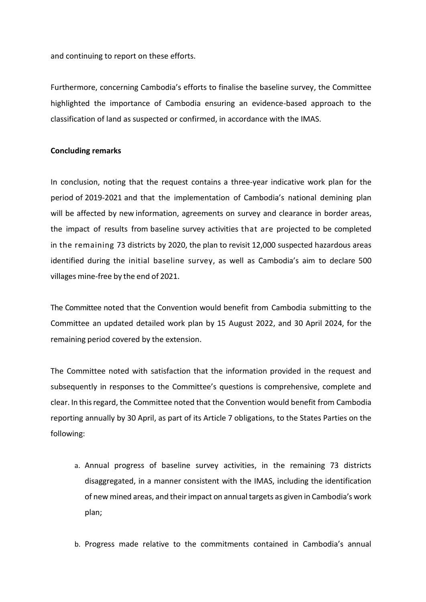and continuing to report on these efforts.

Furthermore, concerning Cambodia's efforts to finalise the baseline survey, the Committee highlighted the importance of Cambodia ensuring an evidence-based approach to the classification of land as suspected or confirmed, in accordance with the IMAS.

# **Concluding remarks**

In conclusion, noting that the request contains a three-year indicative work plan for the period of 2019-2021 and that the implementation of Cambodia's national demining plan will be affected by new information, agreements on survey and clearance in border areas, the impact of results from baseline survey activities that are projected to be completed in the remaining 73 districts by 2020, the plan to revisit 12,000 suspected hazardous areas identified during the initial baseline survey, as well as Cambodia's aim to declare 500 villages mine-free by the end of 2021.

The Committee noted that the Convention would benefit from Cambodia submitting to the Committee an updated detailed work plan by 15 August 2022, and 30 April 2024, for the remaining period covered by the extension.

The Committee noted with satisfaction that the information provided in the request and subsequently in responses to the Committee's questions is comprehensive, complete and clear. In thisregard, the Committee noted that the Convention would benefit from Cambodia reporting annually by 30 April, as part of its Article 7 obligations, to the States Parties on the following:

- a. Annual progress of baseline survey activities, in the remaining 73 districts disaggregated, in a manner consistent with the IMAS, including the identification of new mined areas, and theirimpact on annual targets as given in Cambodia's work plan;
- b. Progress made relative to the commitments contained in Cambodia's annual